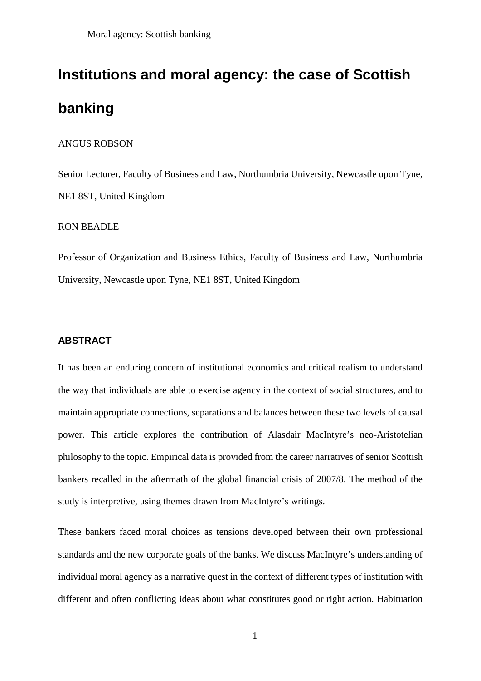# **Institutions and moral agency: the case of Scottish banking**

## ANGUS ROBSON

Senior Lecturer, Faculty of Business and Law, Northumbria University, Newcastle upon Tyne, NE1 8ST, United Kingdom

# RON BEADLE

Professor of Organization and Business Ethics, Faculty of Business and Law, Northumbria University, Newcastle upon Tyne, NE1 8ST, United Kingdom

## **ABSTRACT**

It has been an enduring concern of institutional economics and critical realism to understand the way that individuals are able to exercise agency in the context of social structures, and to maintain appropriate connections, separations and balances between these two levels of causal power. This article explores the contribution of Alasdair MacIntyre's neo-Aristotelian philosophy to the topic. Empirical data is provided from the career narratives of senior Scottish bankers recalled in the aftermath of the global financial crisis of 2007/8. The method of the study is interpretive, using themes drawn from MacIntyre's writings.

These bankers faced moral choices as tensions developed between their own professional standards and the new corporate goals of the banks. We discuss MacIntyre's understanding of individual moral agency as a narrative quest in the context of different types of institution with different and often conflicting ideas about what constitutes good or right action. Habituation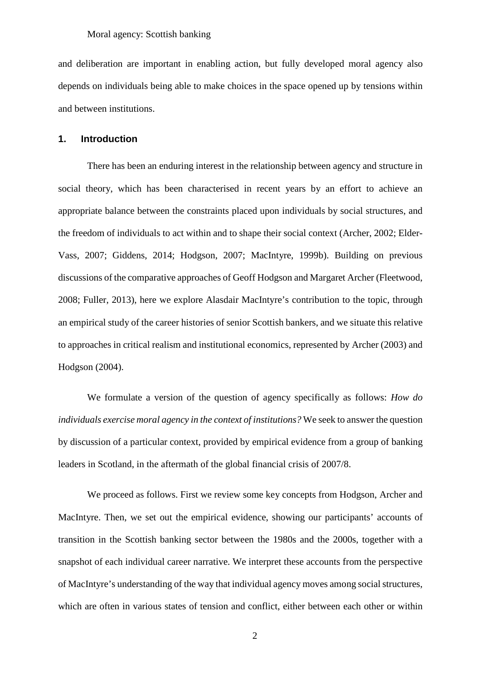and deliberation are important in enabling action, but fully developed moral agency also depends on individuals being able to make choices in the space opened up by tensions within and between institutions.

# **1. Introduction**

There has been an enduring interest in the relationship between agency and structure in social theory, which has been characterised in recent years by an effort to achieve an appropriate balance between the constraints placed upon individuals by social structures, and the freedom of individuals to act within and to shape their social context (Archer, 2002; Elder-Vass, 2007; Giddens, 2014; Hodgson, 2007; MacIntyre, 1999b). Building on previous discussions of the comparative approaches of Geoff Hodgson and Margaret Archer (Fleetwood, 2008; Fuller, 2013), here we explore Alasdair MacIntyre's contribution to the topic, through an empirical study of the career histories of senior Scottish bankers, and we situate this relative to approaches in critical realism and institutional economics, represented by Archer (2003) and Hodgson (2004).

We formulate a version of the question of agency specifically as follows: *How do individuals exercise moral agency in the context of institutions?* We seek to answer the question by discussion of a particular context, provided by empirical evidence from a group of banking leaders in Scotland, in the aftermath of the global financial crisis of 2007/8.

We proceed as follows. First we review some key concepts from Hodgson, Archer and MacIntyre. Then, we set out the empirical evidence, showing our participants' accounts of transition in the Scottish banking sector between the 1980s and the 2000s, together with a snapshot of each individual career narrative. We interpret these accounts from the perspective of MacIntyre's understanding of the way that individual agency moves among social structures, which are often in various states of tension and conflict, either between each other or within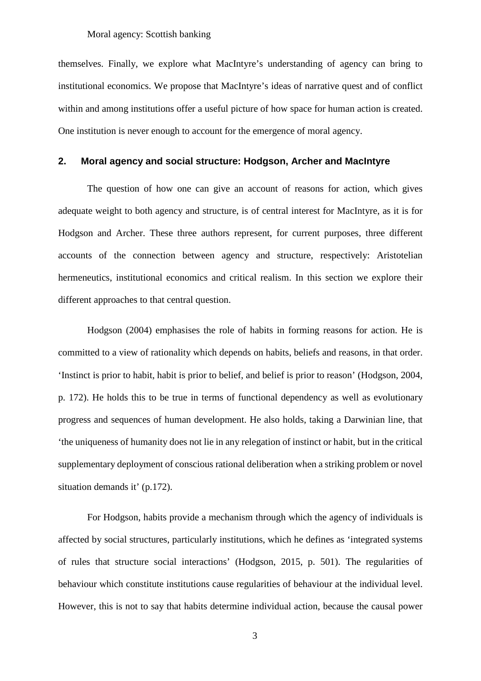themselves. Finally, we explore what MacIntyre's understanding of agency can bring to institutional economics. We propose that MacIntyre's ideas of narrative quest and of conflict within and among institutions offer a useful picture of how space for human action is created. One institution is never enough to account for the emergence of moral agency.

# **2. Moral agency and social structure: Hodgson, Archer and MacIntyre**

The question of how one can give an account of reasons for action, which gives adequate weight to both agency and structure, is of central interest for MacIntyre, as it is for Hodgson and Archer. These three authors represent, for current purposes, three different accounts of the connection between agency and structure, respectively: Aristotelian hermeneutics, institutional economics and critical realism. In this section we explore their different approaches to that central question.

Hodgson (2004) emphasises the role of habits in forming reasons for action. He is committed to a view of rationality which depends on habits, beliefs and reasons, in that order. 'Instinct is prior to habit, habit is prior to belief, and belief is prior to reason' (Hodgson, 2004, p. 172). He holds this to be true in terms of functional dependency as well as evolutionary progress and sequences of human development. He also holds, taking a Darwinian line, that 'the uniqueness of humanity does not lie in any relegation of instinct or habit, but in the critical supplementary deployment of conscious rational deliberation when a striking problem or novel situation demands it' (p.172).

For Hodgson, habits provide a mechanism through which the agency of individuals is affected by social structures, particularly institutions, which he defines as 'integrated systems of rules that structure social interactions' (Hodgson, 2015, p. 501). The regularities of behaviour which constitute institutions cause regularities of behaviour at the individual level. However, this is not to say that habits determine individual action, because the causal power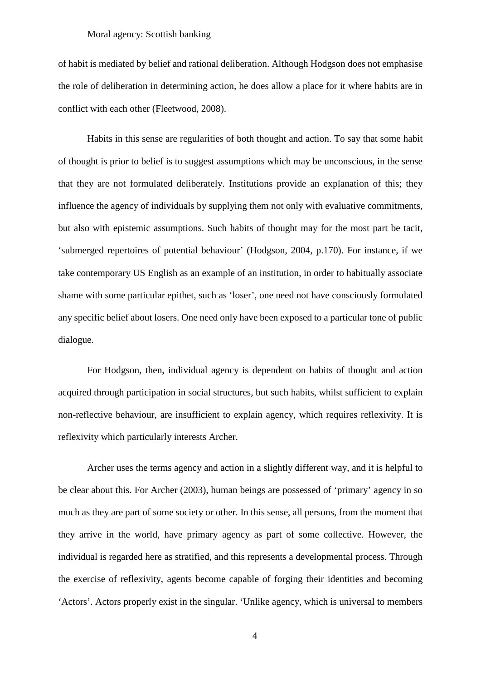of habit is mediated by belief and rational deliberation. Although Hodgson does not emphasise the role of deliberation in determining action, he does allow a place for it where habits are in conflict with each other (Fleetwood, 2008).

Habits in this sense are regularities of both thought and action. To say that some habit of thought is prior to belief is to suggest assumptions which may be unconscious, in the sense that they are not formulated deliberately. Institutions provide an explanation of this; they influence the agency of individuals by supplying them not only with evaluative commitments, but also with epistemic assumptions. Such habits of thought may for the most part be tacit, 'submerged repertoires of potential behaviour' (Hodgson, 2004, p.170). For instance, if we take contemporary US English as an example of an institution, in order to habitually associate shame with some particular epithet, such as 'loser', one need not have consciously formulated any specific belief about losers. One need only have been exposed to a particular tone of public dialogue.

For Hodgson, then, individual agency is dependent on habits of thought and action acquired through participation in social structures, but such habits, whilst sufficient to explain non-reflective behaviour, are insufficient to explain agency, which requires reflexivity. It is reflexivity which particularly interests Archer.

Archer uses the terms agency and action in a slightly different way, and it is helpful to be clear about this. For Archer (2003), human beings are possessed of 'primary' agency in so much as they are part of some society or other. In this sense, all persons, from the moment that they arrive in the world, have primary agency as part of some collective. However, the individual is regarded here as stratified, and this represents a developmental process. Through the exercise of reflexivity, agents become capable of forging their identities and becoming 'Actors'. Actors properly exist in the singular. 'Unlike agency, which is universal to members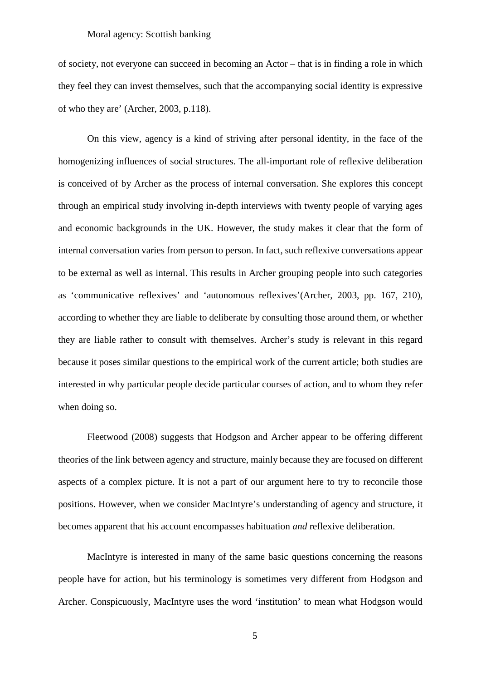of society, not everyone can succeed in becoming an Actor – that is in finding a role in which they feel they can invest themselves, such that the accompanying social identity is expressive of who they are' (Archer, 2003, p.118).

On this view, agency is a kind of striving after personal identity, in the face of the homogenizing influences of social structures. The all-important role of reflexive deliberation is conceived of by Archer as the process of internal conversation. She explores this concept through an empirical study involving in-depth interviews with twenty people of varying ages and economic backgrounds in the UK. However, the study makes it clear that the form of internal conversation varies from person to person. In fact, such reflexive conversations appear to be external as well as internal. This results in Archer grouping people into such categories as 'communicative reflexives' and 'autonomous reflexives'(Archer, 2003, pp. 167, 210), according to whether they are liable to deliberate by consulting those around them, or whether they are liable rather to consult with themselves. Archer's study is relevant in this regard because it poses similar questions to the empirical work of the current article; both studies are interested in why particular people decide particular courses of action, and to whom they refer when doing so.

Fleetwood (2008) suggests that Hodgson and Archer appear to be offering different theories of the link between agency and structure, mainly because they are focused on different aspects of a complex picture. It is not a part of our argument here to try to reconcile those positions. However, when we consider MacIntyre's understanding of agency and structure, it becomes apparent that his account encompasses habituation *and* reflexive deliberation.

MacIntyre is interested in many of the same basic questions concerning the reasons people have for action, but his terminology is sometimes very different from Hodgson and Archer. Conspicuously, MacIntyre uses the word 'institution' to mean what Hodgson would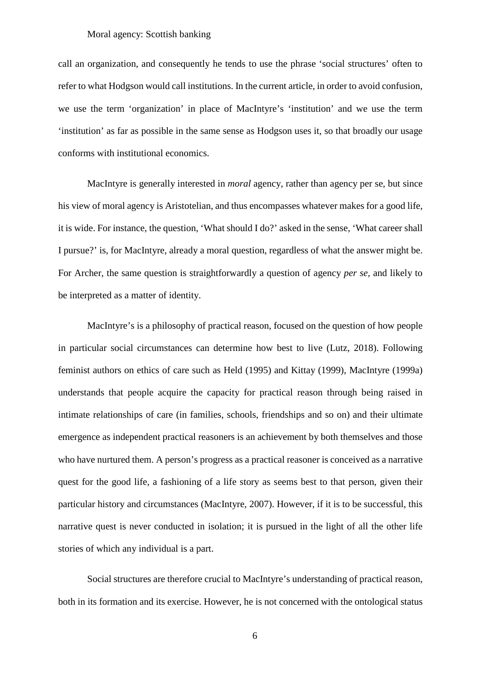call an organization, and consequently he tends to use the phrase 'social structures' often to refer to what Hodgson would call institutions. In the current article, in order to avoid confusion, we use the term 'organization' in place of MacIntyre's 'institution' and we use the term 'institution' as far as possible in the same sense as Hodgson uses it, so that broadly our usage conforms with institutional economics.

MacIntyre is generally interested in *moral* agency, rather than agency per se, but since his view of moral agency is Aristotelian, and thus encompasses whatever makes for a good life, it is wide. For instance, the question, 'What should I do?' asked in the sense, 'What career shall I pursue?' is, for MacIntyre, already a moral question, regardless of what the answer might be. For Archer, the same question is straightforwardly a question of agency *per se*, and likely to be interpreted as a matter of identity.

MacIntyre's is a philosophy of practical reason, focused on the question of how people in particular social circumstances can determine how best to live (Lutz, 2018). Following feminist authors on ethics of care such as Held (1995) and Kittay (1999), MacIntyre (1999a) understands that people acquire the capacity for practical reason through being raised in intimate relationships of care (in families, schools, friendships and so on) and their ultimate emergence as independent practical reasoners is an achievement by both themselves and those who have nurtured them. A person's progress as a practical reasoner is conceived as a narrative quest for the good life, a fashioning of a life story as seems best to that person, given their particular history and circumstances (MacIntyre, 2007). However, if it is to be successful, this narrative quest is never conducted in isolation; it is pursued in the light of all the other life stories of which any individual is a part.

Social structures are therefore crucial to MacIntyre's understanding of practical reason, both in its formation and its exercise. However, he is not concerned with the ontological status

6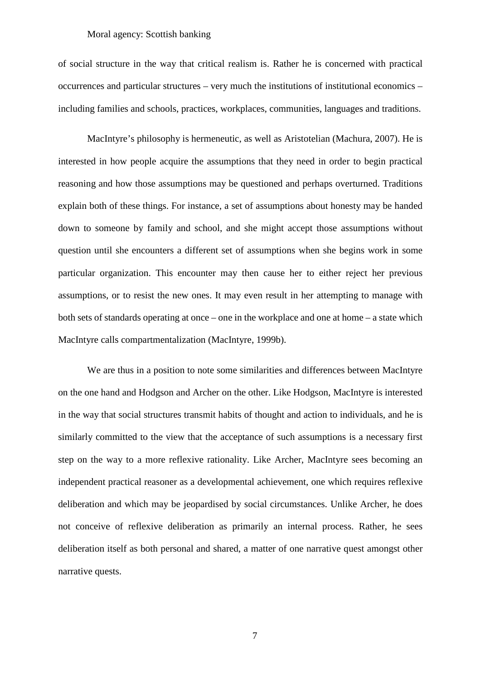of social structure in the way that critical realism is. Rather he is concerned with practical occurrences and particular structures – very much the institutions of institutional economics – including families and schools, practices, workplaces, communities, languages and traditions.

MacIntyre's philosophy is hermeneutic, as well as Aristotelian (Machura, 2007). He is interested in how people acquire the assumptions that they need in order to begin practical reasoning and how those assumptions may be questioned and perhaps overturned. Traditions explain both of these things. For instance, a set of assumptions about honesty may be handed down to someone by family and school, and she might accept those assumptions without question until she encounters a different set of assumptions when she begins work in some particular organization. This encounter may then cause her to either reject her previous assumptions, or to resist the new ones. It may even result in her attempting to manage with both sets of standards operating at once – one in the workplace and one at home – a state which MacIntyre calls compartmentalization (MacIntyre, 1999b).

We are thus in a position to note some similarities and differences between MacIntyre on the one hand and Hodgson and Archer on the other. Like Hodgson, MacIntyre is interested in the way that social structures transmit habits of thought and action to individuals, and he is similarly committed to the view that the acceptance of such assumptions is a necessary first step on the way to a more reflexive rationality. Like Archer, MacIntyre sees becoming an independent practical reasoner as a developmental achievement, one which requires reflexive deliberation and which may be jeopardised by social circumstances. Unlike Archer, he does not conceive of reflexive deliberation as primarily an internal process. Rather, he sees deliberation itself as both personal and shared, a matter of one narrative quest amongst other narrative quests.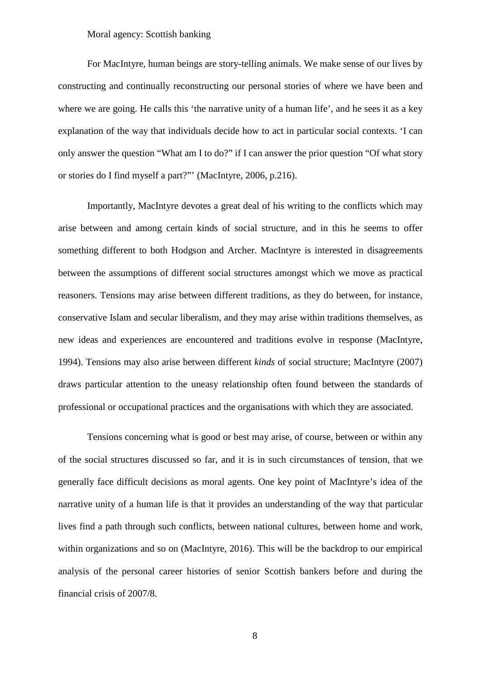For MacIntyre, human beings are story-telling animals. We make sense of our lives by constructing and continually reconstructing our personal stories of where we have been and where we are going. He calls this 'the narrative unity of a human life', and he sees it as a key explanation of the way that individuals decide how to act in particular social contexts. 'I can only answer the question "What am I to do?" if I can answer the prior question "Of what story or stories do I find myself a part?"' (MacIntyre, 2006, p.216).

Importantly, MacIntyre devotes a great deal of his writing to the conflicts which may arise between and among certain kinds of social structure, and in this he seems to offer something different to both Hodgson and Archer. MacIntyre is interested in disagreements between the assumptions of different social structures amongst which we move as practical reasoners. Tensions may arise between different traditions, as they do between, for instance, conservative Islam and secular liberalism, and they may arise within traditions themselves, as new ideas and experiences are encountered and traditions evolve in response (MacIntyre, 1994). Tensions may also arise between different *kinds* of social structure; MacIntyre (2007) draws particular attention to the uneasy relationship often found between the standards of professional or occupational practices and the organisations with which they are associated.

Tensions concerning what is good or best may arise, of course, between or within any of the social structures discussed so far, and it is in such circumstances of tension, that we generally face difficult decisions as moral agents. One key point of MacIntyre's idea of the narrative unity of a human life is that it provides an understanding of the way that particular lives find a path through such conflicts, between national cultures, between home and work, within organizations and so on (MacIntyre, 2016). This will be the backdrop to our empirical analysis of the personal career histories of senior Scottish bankers before and during the financial crisis of 2007/8.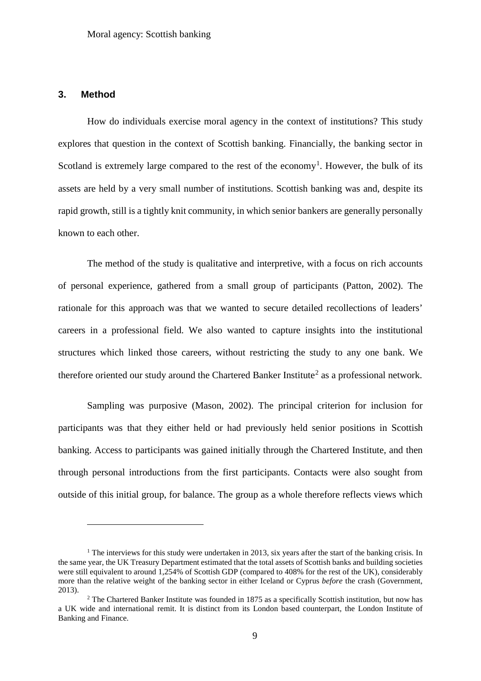# **3. Method**

<u>.</u>

How do individuals exercise moral agency in the context of institutions? This study explores that question in the context of Scottish banking. Financially, the banking sector in Scotland is extremely large compared to the rest of the economy<sup>[1](#page-8-0)</sup>. However, the bulk of its assets are held by a very small number of institutions. Scottish banking was and, despite its rapid growth, still is a tightly knit community, in which senior bankers are generally personally known to each other.

The method of the study is qualitative and interpretive, with a focus on rich accounts of personal experience, gathered from a small group of participants (Patton, 2002). The rationale for this approach was that we wanted to secure detailed recollections of leaders' careers in a professional field. We also wanted to capture insights into the institutional structures which linked those careers, without restricting the study to any one bank. We therefore oriented our study around the Chartered Banker Institute<sup>[2](#page-8-1)</sup> as a professional network.

Sampling was purposive (Mason, 2002). The principal criterion for inclusion for participants was that they either held or had previously held senior positions in Scottish banking. Access to participants was gained initially through the Chartered Institute, and then through personal introductions from the first participants. Contacts were also sought from outside of this initial group, for balance. The group as a whole therefore reflects views which

<span id="page-8-0"></span><sup>&</sup>lt;sup>1</sup> The interviews for this study were undertaken in 2013, six years after the start of the banking crisis. In the same year, the UK Treasury Department estimated that the total assets of Scottish banks and building societies were still equivalent to around 1,254% of Scottish GDP (compared to 408% for the rest of the UK), considerably more than the relative weight of the banking sector in either Iceland or Cyprus *before* the crash (Government, 2013).

<span id="page-8-1"></span><sup>2</sup> The Chartered Banker Institute was founded in 1875 as a specifically Scottish institution, but now has a UK wide and international remit. It is distinct from its London based counterpart, the London Institute of Banking and Finance.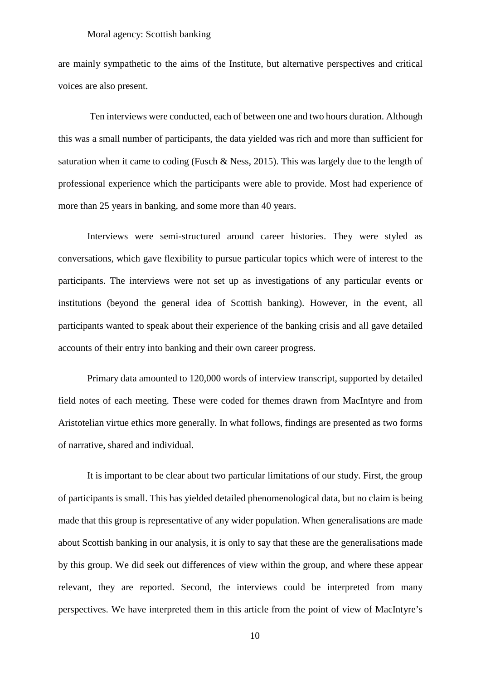are mainly sympathetic to the aims of the Institute, but alternative perspectives and critical voices are also present.

Ten interviews were conducted, each of between one and two hours duration. Although this was a small number of participants, the data yielded was rich and more than sufficient for saturation when it came to coding (Fusch & Ness, 2015). This was largely due to the length of professional experience which the participants were able to provide. Most had experience of more than 25 years in banking, and some more than 40 years.

Interviews were semi-structured around career histories. They were styled as conversations, which gave flexibility to pursue particular topics which were of interest to the participants. The interviews were not set up as investigations of any particular events or institutions (beyond the general idea of Scottish banking). However, in the event, all participants wanted to speak about their experience of the banking crisis and all gave detailed accounts of their entry into banking and their own career progress.

Primary data amounted to 120,000 words of interview transcript, supported by detailed field notes of each meeting. These were coded for themes drawn from MacIntyre and from Aristotelian virtue ethics more generally. In what follows, findings are presented as two forms of narrative, shared and individual.

It is important to be clear about two particular limitations of our study. First, the group of participants is small. This has yielded detailed phenomenological data, but no claim is being made that this group is representative of any wider population. When generalisations are made about Scottish banking in our analysis, it is only to say that these are the generalisations made by this group. We did seek out differences of view within the group, and where these appear relevant, they are reported. Second, the interviews could be interpreted from many perspectives. We have interpreted them in this article from the point of view of MacIntyre's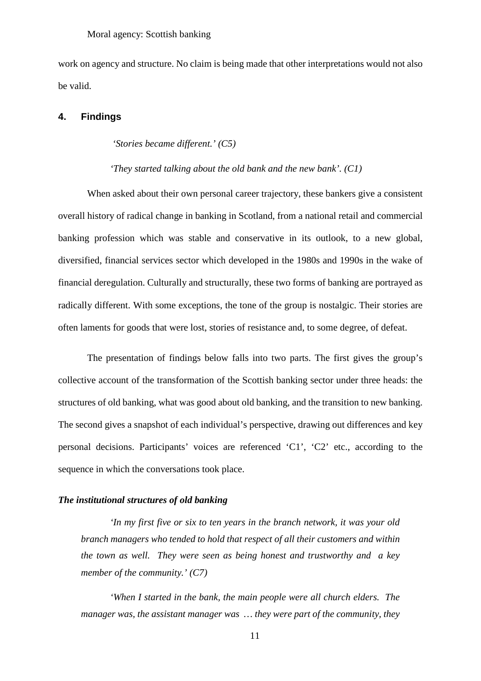work on agency and structure. No claim is being made that other interpretations would not also be valid.

# **4. Findings**

#### *'Stories became different.' (C5)*

### *'They started talking about the old bank and the new bank'. (C1)*

When asked about their own personal career trajectory, these bankers give a consistent overall history of radical change in banking in Scotland, from a national retail and commercial banking profession which was stable and conservative in its outlook, to a new global, diversified, financial services sector which developed in the 1980s and 1990s in the wake of financial deregulation. Culturally and structurally, these two forms of banking are portrayed as radically different. With some exceptions, the tone of the group is nostalgic. Their stories are often laments for goods that were lost, stories of resistance and, to some degree, of defeat.

The presentation of findings below falls into two parts. The first gives the group's collective account of the transformation of the Scottish banking sector under three heads: the structures of old banking, what was good about old banking, and the transition to new banking. The second gives a snapshot of each individual's perspective, drawing out differences and key personal decisions. Participants' voices are referenced 'C1', 'C2' etc., according to the sequence in which the conversations took place.

# *The institutional structures of old banking*

*'In my first five or six to ten years in the branch network, it was your old branch managers who tended to hold that respect of all their customers and within the town as well. They were seen as being honest and trustworthy and a key member of the community.' (C7)*

*'When I started in the bank, the main people were all church elders. The manager was, the assistant manager was … they were part of the community, they*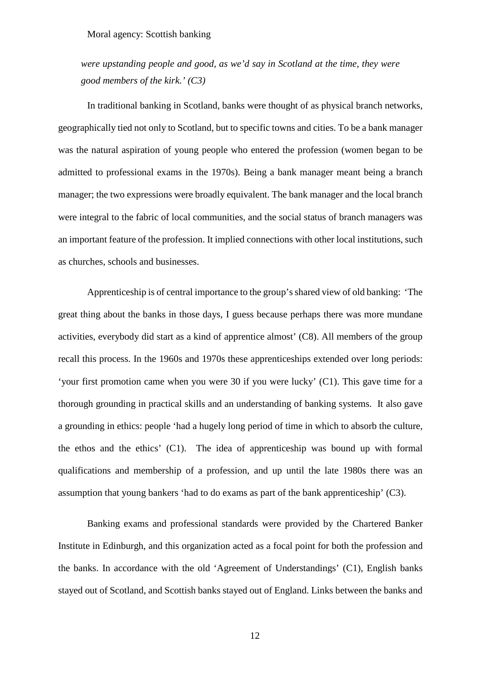*were upstanding people and good, as we'd say in Scotland at the time, they were good members of the kirk.' (C3)*

In traditional banking in Scotland, banks were thought of as physical branch networks, geographically tied not only to Scotland, but to specific towns and cities. To be a bank manager was the natural aspiration of young people who entered the profession (women began to be admitted to professional exams in the 1970s). Being a bank manager meant being a branch manager; the two expressions were broadly equivalent. The bank manager and the local branch were integral to the fabric of local communities, and the social status of branch managers was an important feature of the profession. It implied connections with other local institutions, such as churches, schools and businesses.

Apprenticeship is of central importance to the group's shared view of old banking: 'The great thing about the banks in those days, I guess because perhaps there was more mundane activities, everybody did start as a kind of apprentice almost' (C8). All members of the group recall this process. In the 1960s and 1970s these apprenticeships extended over long periods: 'your first promotion came when you were 30 if you were lucky' (C1). This gave time for a thorough grounding in practical skills and an understanding of banking systems. It also gave a grounding in ethics: people 'had a hugely long period of time in which to absorb the culture, the ethos and the ethics' (C1). The idea of apprenticeship was bound up with formal qualifications and membership of a profession, and up until the late 1980s there was an assumption that young bankers 'had to do exams as part of the bank apprenticeship' (C3).

Banking exams and professional standards were provided by the Chartered Banker Institute in Edinburgh, and this organization acted as a focal point for both the profession and the banks. In accordance with the old 'Agreement of Understandings' (C1), English banks stayed out of Scotland, and Scottish banks stayed out of England. Links between the banks and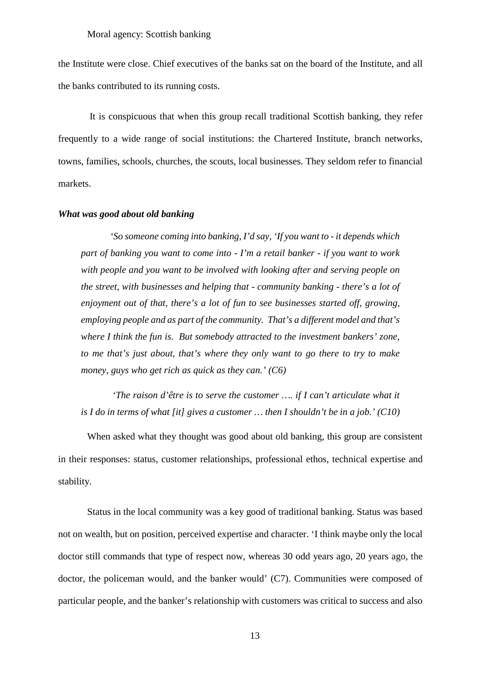the Institute were close. Chief executives of the banks sat on the board of the Institute, and all the banks contributed to its running costs.

It is conspicuous that when this group recall traditional Scottish banking, they refer frequently to a wide range of social institutions: the Chartered Institute, branch networks, towns, families, schools, churches, the scouts, local businesses. They seldom refer to financial markets.

#### *What was good about old banking*

*'So someone coming into banking, I'd say, 'If you want to - it depends which part of banking you want to come into - I'm a retail banker - if you want to work with people and you want to be involved with looking after and serving people on the street, with businesses and helping that - community banking - there's a lot of enjoyment out of that, there's a lot of fun to see businesses started off, growing, employing people and as part of the community. That's a different model and that's where I think the fun is. But somebody attracted to the investment bankers' zone, to me that's just about, that's where they only want to go there to try to make money, guys who get rich as quick as they can.' (C6)*

*'The raison d'être is to serve the customer …. if I can't articulate what it is I do in terms of what [it] gives a customer … then I shouldn't be in a job.' (C10)*

When asked what they thought was good about old banking, this group are consistent in their responses: status, customer relationships, professional ethos, technical expertise and stability.

Status in the local community was a key good of traditional banking. Status was based not on wealth, but on position, perceived expertise and character. 'I think maybe only the local doctor still commands that type of respect now, whereas 30 odd years ago, 20 years ago, the doctor, the policeman would, and the banker would' (C7). Communities were composed of particular people, and the banker's relationship with customers was critical to success and also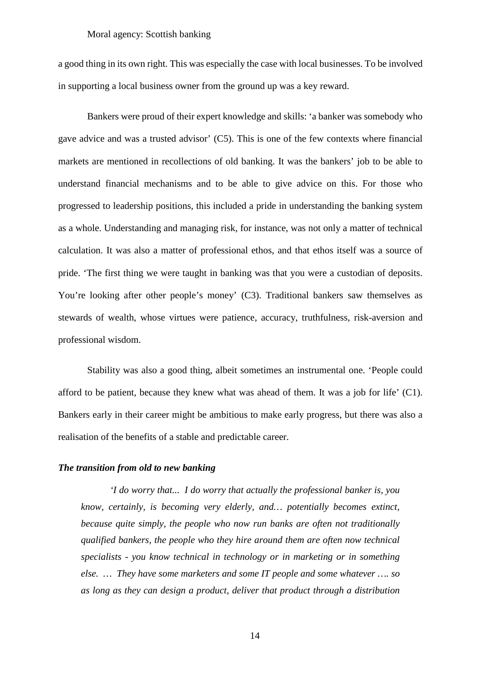a good thing in its own right. This was especially the case with local businesses. To be involved in supporting a local business owner from the ground up was a key reward.

Bankers were proud of their expert knowledge and skills: 'a banker was somebody who gave advice and was a trusted advisor' (C5). This is one of the few contexts where financial markets are mentioned in recollections of old banking. It was the bankers' job to be able to understand financial mechanisms and to be able to give advice on this. For those who progressed to leadership positions, this included a pride in understanding the banking system as a whole. Understanding and managing risk, for instance, was not only a matter of technical calculation. It was also a matter of professional ethos, and that ethos itself was a source of pride. 'The first thing we were taught in banking was that you were a custodian of deposits. You're looking after other people's money' (C3). Traditional bankers saw themselves as stewards of wealth, whose virtues were patience, accuracy, truthfulness, risk-aversion and professional wisdom.

Stability was also a good thing, albeit sometimes an instrumental one. 'People could afford to be patient, because they knew what was ahead of them. It was a job for life' (C1). Bankers early in their career might be ambitious to make early progress, but there was also a realisation of the benefits of a stable and predictable career.

#### *The transition from old to new banking*

*'I do worry that... I do worry that actually the professional banker is, you know, certainly, is becoming very elderly, and… potentially becomes extinct, because quite simply, the people who now run banks are often not traditionally qualified bankers, the people who they hire around them are often now technical specialists - you know technical in technology or in marketing or in something else. … They have some marketers and some IT people and some whatever …. so as long as they can design a product, deliver that product through a distribution*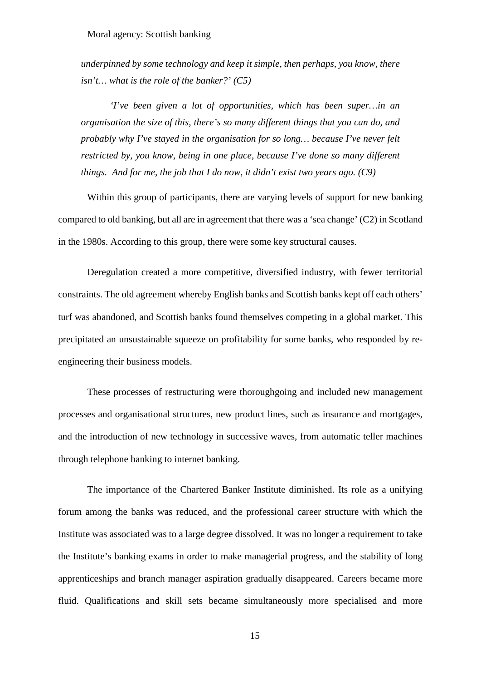*underpinned by some technology and keep it simple, then perhaps, you know, there isn't… what is the role of the banker?' (C5)*

*'I've been given a lot of opportunities, which has been super…in an organisation the size of this, there's so many different things that you can do, and probably why I've stayed in the organisation for so long… because I've never felt restricted by, you know, being in one place, because I've done so many different things. And for me, the job that I do now, it didn't exist two years ago. (C9)*

Within this group of participants, there are varying levels of support for new banking compared to old banking, but all are in agreement that there was a 'sea change' (C2) in Scotland in the 1980s. According to this group, there were some key structural causes.

Deregulation created a more competitive, diversified industry, with fewer territorial constraints. The old agreement whereby English banks and Scottish banks kept off each others' turf was abandoned, and Scottish banks found themselves competing in a global market. This precipitated an unsustainable squeeze on profitability for some banks, who responded by reengineering their business models.

These processes of restructuring were thoroughgoing and included new management processes and organisational structures, new product lines, such as insurance and mortgages, and the introduction of new technology in successive waves, from automatic teller machines through telephone banking to internet banking.

The importance of the Chartered Banker Institute diminished. Its role as a unifying forum among the banks was reduced, and the professional career structure with which the Institute was associated was to a large degree dissolved. It was no longer a requirement to take the Institute's banking exams in order to make managerial progress, and the stability of long apprenticeships and branch manager aspiration gradually disappeared. Careers became more fluid. Qualifications and skill sets became simultaneously more specialised and more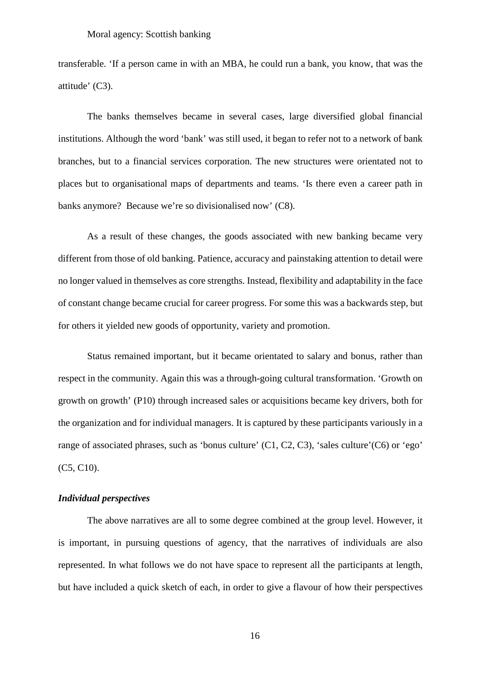transferable. 'If a person came in with an MBA, he could run a bank, you know, that was the attitude' (C3).

The banks themselves became in several cases, large diversified global financial institutions. Although the word 'bank' was still used, it began to refer not to a network of bank branches, but to a financial services corporation. The new structures were orientated not to places but to organisational maps of departments and teams. 'Is there even a career path in banks anymore? Because we're so divisionalised now' (C8).

As a result of these changes, the goods associated with new banking became very different from those of old banking. Patience, accuracy and painstaking attention to detail were no longer valued in themselves as core strengths. Instead, flexibility and adaptability in the face of constant change became crucial for career progress. For some this was a backwards step, but for others it yielded new goods of opportunity, variety and promotion.

Status remained important, but it became orientated to salary and bonus, rather than respect in the community. Again this was a through-going cultural transformation. 'Growth on growth on growth' (P10) through increased sales or acquisitions became key drivers, both for the organization and for individual managers. It is captured by these participants variously in a range of associated phrases, such as 'bonus culture' (C1, C2, C3), 'sales culture'(C6) or 'ego' (C5, C10).

## *Individual perspectives*

The above narratives are all to some degree combined at the group level. However, it is important, in pursuing questions of agency, that the narratives of individuals are also represented. In what follows we do not have space to represent all the participants at length, but have included a quick sketch of each, in order to give a flavour of how their perspectives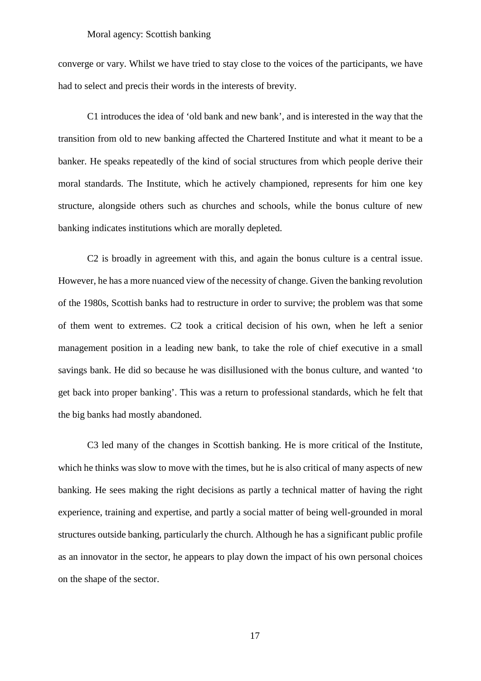converge or vary. Whilst we have tried to stay close to the voices of the participants, we have had to select and precis their words in the interests of brevity.

C1 introduces the idea of 'old bank and new bank', and is interested in the way that the transition from old to new banking affected the Chartered Institute and what it meant to be a banker. He speaks repeatedly of the kind of social structures from which people derive their moral standards. The Institute, which he actively championed, represents for him one key structure, alongside others such as churches and schools, while the bonus culture of new banking indicates institutions which are morally depleted.

C2 is broadly in agreement with this, and again the bonus culture is a central issue. However, he has a more nuanced view of the necessity of change. Given the banking revolution of the 1980s, Scottish banks had to restructure in order to survive; the problem was that some of them went to extremes. C2 took a critical decision of his own, when he left a senior management position in a leading new bank, to take the role of chief executive in a small savings bank. He did so because he was disillusioned with the bonus culture, and wanted 'to get back into proper banking'. This was a return to professional standards, which he felt that the big banks had mostly abandoned.

C3 led many of the changes in Scottish banking. He is more critical of the Institute, which he thinks was slow to move with the times, but he is also critical of many aspects of new banking. He sees making the right decisions as partly a technical matter of having the right experience, training and expertise, and partly a social matter of being well-grounded in moral structures outside banking, particularly the church. Although he has a significant public profile as an innovator in the sector, he appears to play down the impact of his own personal choices on the shape of the sector.

17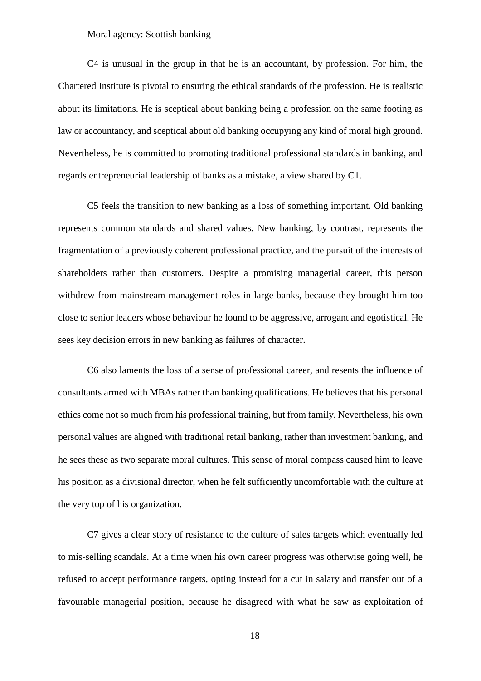C4 is unusual in the group in that he is an accountant, by profession. For him, the Chartered Institute is pivotal to ensuring the ethical standards of the profession. He is realistic about its limitations. He is sceptical about banking being a profession on the same footing as law or accountancy, and sceptical about old banking occupying any kind of moral high ground. Nevertheless, he is committed to promoting traditional professional standards in banking, and regards entrepreneurial leadership of banks as a mistake, a view shared by C1.

C5 feels the transition to new banking as a loss of something important. Old banking represents common standards and shared values. New banking, by contrast, represents the fragmentation of a previously coherent professional practice, and the pursuit of the interests of shareholders rather than customers. Despite a promising managerial career, this person withdrew from mainstream management roles in large banks, because they brought him too close to senior leaders whose behaviour he found to be aggressive, arrogant and egotistical. He sees key decision errors in new banking as failures of character.

C6 also laments the loss of a sense of professional career, and resents the influence of consultants armed with MBAs rather than banking qualifications. He believes that his personal ethics come not so much from his professional training, but from family. Nevertheless, his own personal values are aligned with traditional retail banking, rather than investment banking, and he sees these as two separate moral cultures. This sense of moral compass caused him to leave his position as a divisional director, when he felt sufficiently uncomfortable with the culture at the very top of his organization.

C7 gives a clear story of resistance to the culture of sales targets which eventually led to mis-selling scandals. At a time when his own career progress was otherwise going well, he refused to accept performance targets, opting instead for a cut in salary and transfer out of a favourable managerial position, because he disagreed with what he saw as exploitation of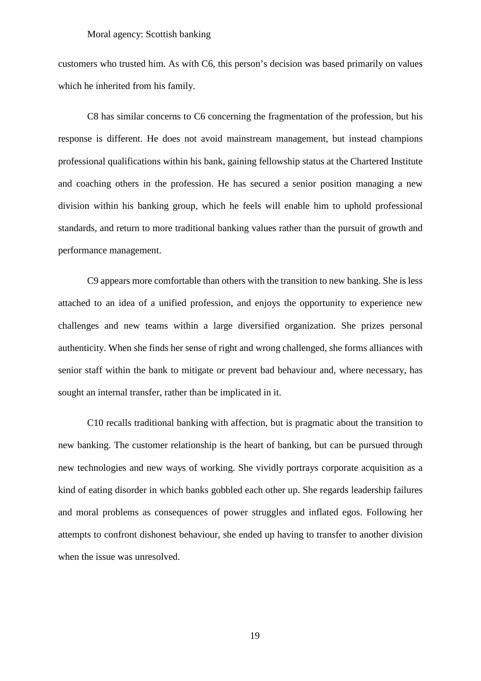customers who trusted him. As with C6, this person's decision was based primarily on values which he inherited from his family.

C8 has similar concerns to C6 concerning the fragmentation of the profession, but his response is different. He does not avoid mainstream management, but instead champions professional qualifications within his bank, gaining fellowship status at the Chartered Institute and coaching others in the profession. He has secured a senior position managing a new division within his banking group, which he feels will enable him to uphold professional standards, and return to more traditional banking values rather than the pursuit of growth and performance management.

C9 appears more comfortable than others with the transition to new banking. She is less attached to an idea of a unified profession, and enjoys the opportunity to experience new challenges and new teams within a large diversified organization. She prizes personal authenticity. When she finds her sense of right and wrong challenged, she forms alliances with senior staff within the bank to mitigate or prevent bad behaviour and, where necessary, has sought an internal transfer, rather than be implicated in it.

C10 recalls traditional banking with affection, but is pragmatic about the transition to new banking. The customer relationship is the heart of banking, but can be pursued through new technologies and new ways of working. She vividly portrays corporate acquisition as a kind of eating disorder in which banks gobbled each other up. She regards leadership failures and moral problems as consequences of power struggles and inflated egos. Following her attempts to confront dishonest behaviour, she ended up having to transfer to another division when the issue was unresolved.

19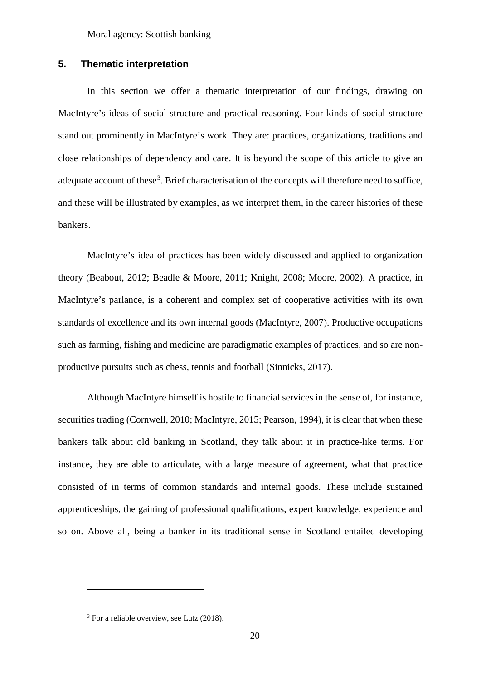# **5. Thematic interpretation**

In this section we offer a thematic interpretation of our findings, drawing on MacIntyre's ideas of social structure and practical reasoning. Four kinds of social structure stand out prominently in MacIntyre's work. They are: practices, organizations, traditions and close relationships of dependency and care. It is beyond the scope of this article to give an adequate account of these<sup>[3](#page-19-0)</sup>. Brief characterisation of the concepts will therefore need to suffice, and these will be illustrated by examples, as we interpret them, in the career histories of these bankers.

MacIntyre's idea of practices has been widely discussed and applied to organization theory (Beabout, 2012; Beadle & Moore, 2011; Knight, 2008; Moore, 2002). A practice, in MacIntyre's parlance, is a coherent and complex set of cooperative activities with its own standards of excellence and its own internal goods (MacIntyre, 2007). Productive occupations such as farming, fishing and medicine are paradigmatic examples of practices, and so are nonproductive pursuits such as chess, tennis and football (Sinnicks, 2017).

Although MacIntyre himself is hostile to financial services in the sense of, for instance, securities trading (Cornwell, 2010; MacIntyre, 2015; Pearson, 1994), it is clear that when these bankers talk about old banking in Scotland, they talk about it in practice-like terms. For instance, they are able to articulate, with a large measure of agreement, what that practice consisted of in terms of common standards and internal goods. These include sustained apprenticeships, the gaining of professional qualifications, expert knowledge, experience and so on. Above all, being a banker in its traditional sense in Scotland entailed developing

<u>.</u>

<span id="page-19-0"></span> $3$  For a reliable overview, see Lutz (2018).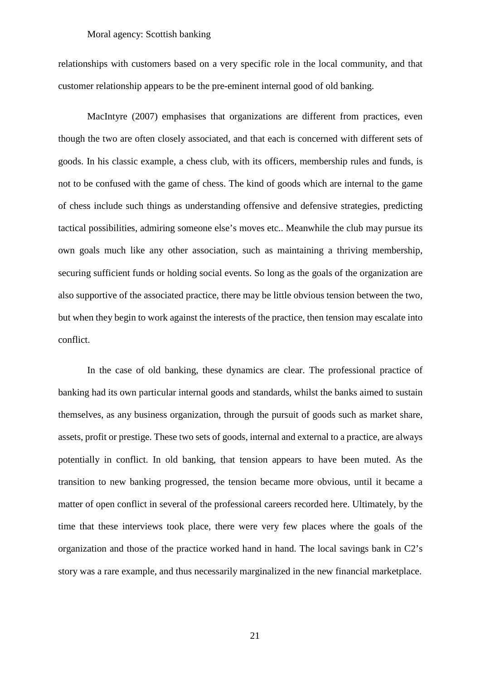relationships with customers based on a very specific role in the local community, and that customer relationship appears to be the pre-eminent internal good of old banking.

MacIntyre (2007) emphasises that organizations are different from practices, even though the two are often closely associated, and that each is concerned with different sets of goods. In his classic example, a chess club, with its officers, membership rules and funds, is not to be confused with the game of chess. The kind of goods which are internal to the game of chess include such things as understanding offensive and defensive strategies, predicting tactical possibilities, admiring someone else's moves etc.. Meanwhile the club may pursue its own goals much like any other association, such as maintaining a thriving membership, securing sufficient funds or holding social events. So long as the goals of the organization are also supportive of the associated practice, there may be little obvious tension between the two, but when they begin to work against the interests of the practice, then tension may escalate into conflict.

In the case of old banking, these dynamics are clear. The professional practice of banking had its own particular internal goods and standards, whilst the banks aimed to sustain themselves, as any business organization, through the pursuit of goods such as market share, assets, profit or prestige. These two sets of goods, internal and external to a practice, are always potentially in conflict. In old banking, that tension appears to have been muted. As the transition to new banking progressed, the tension became more obvious, until it became a matter of open conflict in several of the professional careers recorded here. Ultimately, by the time that these interviews took place, there were very few places where the goals of the organization and those of the practice worked hand in hand. The local savings bank in C2's story was a rare example, and thus necessarily marginalized in the new financial marketplace.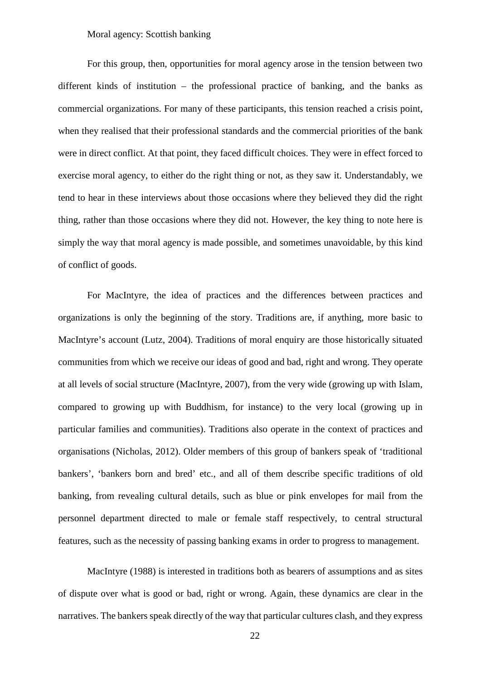For this group, then, opportunities for moral agency arose in the tension between two different kinds of institution – the professional practice of banking, and the banks as commercial organizations. For many of these participants, this tension reached a crisis point, when they realised that their professional standards and the commercial priorities of the bank were in direct conflict. At that point, they faced difficult choices. They were in effect forced to exercise moral agency, to either do the right thing or not, as they saw it. Understandably, we tend to hear in these interviews about those occasions where they believed they did the right thing, rather than those occasions where they did not. However, the key thing to note here is simply the way that moral agency is made possible, and sometimes unavoidable, by this kind of conflict of goods.

For MacIntyre, the idea of practices and the differences between practices and organizations is only the beginning of the story. Traditions are, if anything, more basic to MacIntyre's account (Lutz, 2004). Traditions of moral enquiry are those historically situated communities from which we receive our ideas of good and bad, right and wrong. They operate at all levels of social structure (MacIntyre, 2007), from the very wide (growing up with Islam, compared to growing up with Buddhism, for instance) to the very local (growing up in particular families and communities). Traditions also operate in the context of practices and organisations (Nicholas, 2012). Older members of this group of bankers speak of 'traditional bankers', 'bankers born and bred' etc., and all of them describe specific traditions of old banking, from revealing cultural details, such as blue or pink envelopes for mail from the personnel department directed to male or female staff respectively, to central structural features, such as the necessity of passing banking exams in order to progress to management.

MacIntyre (1988) is interested in traditions both as bearers of assumptions and as sites of dispute over what is good or bad, right or wrong. Again, these dynamics are clear in the narratives. The bankers speak directly of the way that particular cultures clash, and they express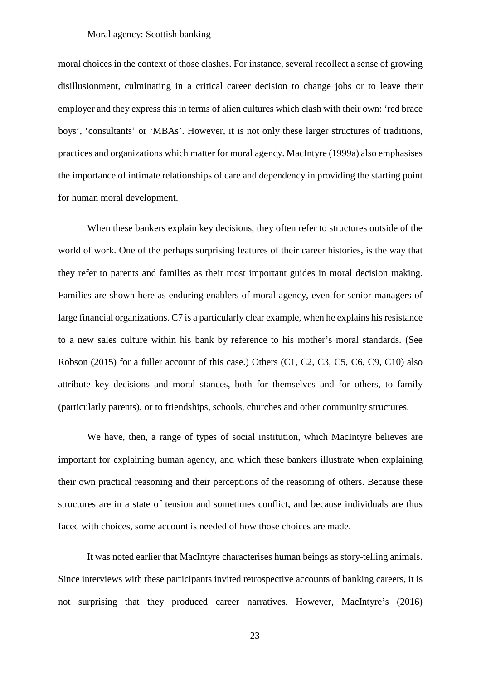moral choices in the context of those clashes. For instance, several recollect a sense of growing disillusionment, culminating in a critical career decision to change jobs or to leave their employer and they express this in terms of alien cultures which clash with their own: 'red brace boys', 'consultants' or 'MBAs'. However, it is not only these larger structures of traditions, practices and organizations which matter for moral agency. MacIntyre (1999a) also emphasises the importance of intimate relationships of care and dependency in providing the starting point for human moral development.

When these bankers explain key decisions, they often refer to structures outside of the world of work. One of the perhaps surprising features of their career histories, is the way that they refer to parents and families as their most important guides in moral decision making. Families are shown here as enduring enablers of moral agency, even for senior managers of large financial organizations. C7 is a particularly clear example, when he explains his resistance to a new sales culture within his bank by reference to his mother's moral standards. (See Robson (2015) for a fuller account of this case.) Others (C1, C2, C3, C5, C6, C9, C10) also attribute key decisions and moral stances, both for themselves and for others, to family (particularly parents), or to friendships, schools, churches and other community structures.

We have, then, a range of types of social institution, which MacIntyre believes are important for explaining human agency, and which these bankers illustrate when explaining their own practical reasoning and their perceptions of the reasoning of others. Because these structures are in a state of tension and sometimes conflict, and because individuals are thus faced with choices, some account is needed of how those choices are made.

It was noted earlier that MacIntyre characterises human beings as story-telling animals. Since interviews with these participants invited retrospective accounts of banking careers, it is not surprising that they produced career narratives. However, MacIntyre's (2016)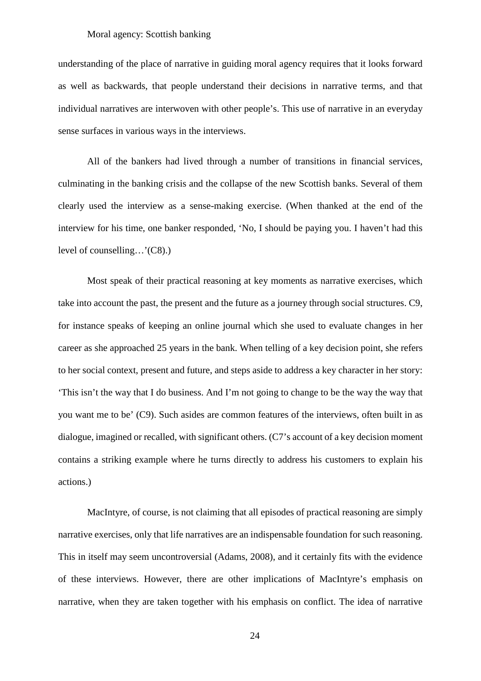understanding of the place of narrative in guiding moral agency requires that it looks forward as well as backwards, that people understand their decisions in narrative terms, and that individual narratives are interwoven with other people's. This use of narrative in an everyday sense surfaces in various ways in the interviews.

All of the bankers had lived through a number of transitions in financial services, culminating in the banking crisis and the collapse of the new Scottish banks. Several of them clearly used the interview as a sense-making exercise. (When thanked at the end of the interview for his time, one banker responded, 'No, I should be paying you. I haven't had this level of counselling…'(C8).)

Most speak of their practical reasoning at key moments as narrative exercises, which take into account the past, the present and the future as a journey through social structures. C9, for instance speaks of keeping an online journal which she used to evaluate changes in her career as she approached 25 years in the bank. When telling of a key decision point, she refers to her social context, present and future, and steps aside to address a key character in her story: 'This isn't the way that I do business. And I'm not going to change to be the way the way that you want me to be' (C9). Such asides are common features of the interviews, often built in as dialogue, imagined or recalled, with significant others. (C7's account of a key decision moment contains a striking example where he turns directly to address his customers to explain his actions.)

MacIntyre, of course, is not claiming that all episodes of practical reasoning are simply narrative exercises, only that life narratives are an indispensable foundation for such reasoning. This in itself may seem uncontroversial (Adams, 2008), and it certainly fits with the evidence of these interviews. However, there are other implications of MacIntyre's emphasis on narrative, when they are taken together with his emphasis on conflict. The idea of narrative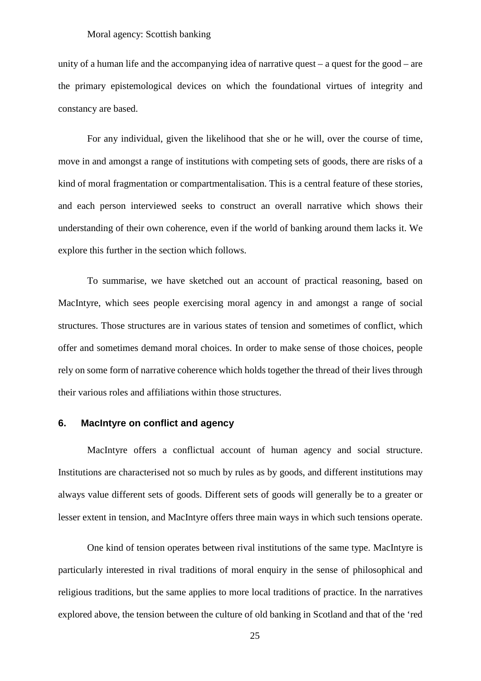unity of a human life and the accompanying idea of narrative quest – a quest for the good – are the primary epistemological devices on which the foundational virtues of integrity and constancy are based.

For any individual, given the likelihood that she or he will, over the course of time, move in and amongst a range of institutions with competing sets of goods, there are risks of a kind of moral fragmentation or compartmentalisation. This is a central feature of these stories, and each person interviewed seeks to construct an overall narrative which shows their understanding of their own coherence, even if the world of banking around them lacks it. We explore this further in the section which follows.

To summarise, we have sketched out an account of practical reasoning, based on MacIntyre, which sees people exercising moral agency in and amongst a range of social structures. Those structures are in various states of tension and sometimes of conflict, which offer and sometimes demand moral choices. In order to make sense of those choices, people rely on some form of narrative coherence which holds together the thread of their lives through their various roles and affiliations within those structures.

# **6. MacIntyre on conflict and agency**

MacIntyre offers a conflictual account of human agency and social structure. Institutions are characterised not so much by rules as by goods, and different institutions may always value different sets of goods. Different sets of goods will generally be to a greater or lesser extent in tension, and MacIntyre offers three main ways in which such tensions operate.

One kind of tension operates between rival institutions of the same type. MacIntyre is particularly interested in rival traditions of moral enquiry in the sense of philosophical and religious traditions, but the same applies to more local traditions of practice. In the narratives explored above, the tension between the culture of old banking in Scotland and that of the 'red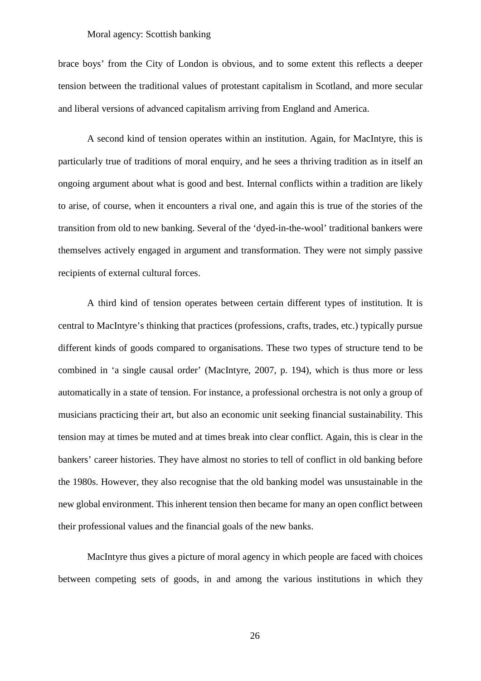brace boys' from the City of London is obvious, and to some extent this reflects a deeper tension between the traditional values of protestant capitalism in Scotland, and more secular and liberal versions of advanced capitalism arriving from England and America.

A second kind of tension operates within an institution. Again, for MacIntyre, this is particularly true of traditions of moral enquiry, and he sees a thriving tradition as in itself an ongoing argument about what is good and best. Internal conflicts within a tradition are likely to arise, of course, when it encounters a rival one, and again this is true of the stories of the transition from old to new banking. Several of the 'dyed-in-the-wool' traditional bankers were themselves actively engaged in argument and transformation. They were not simply passive recipients of external cultural forces.

A third kind of tension operates between certain different types of institution. It is central to MacIntyre's thinking that practices (professions, crafts, trades, etc.) typically pursue different kinds of goods compared to organisations. These two types of structure tend to be combined in 'a single causal order' (MacIntyre, 2007, p. 194), which is thus more or less automatically in a state of tension. For instance, a professional orchestra is not only a group of musicians practicing their art, but also an economic unit seeking financial sustainability. This tension may at times be muted and at times break into clear conflict. Again, this is clear in the bankers' career histories. They have almost no stories to tell of conflict in old banking before the 1980s. However, they also recognise that the old banking model was unsustainable in the new global environment. This inherent tension then became for many an open conflict between their professional values and the financial goals of the new banks.

MacIntyre thus gives a picture of moral agency in which people are faced with choices between competing sets of goods, in and among the various institutions in which they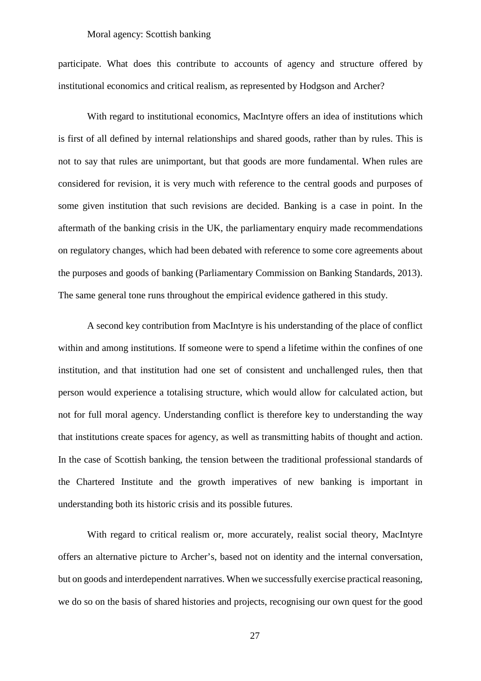participate. What does this contribute to accounts of agency and structure offered by institutional economics and critical realism, as represented by Hodgson and Archer?

With regard to institutional economics, MacIntyre offers an idea of institutions which is first of all defined by internal relationships and shared goods, rather than by rules. This is not to say that rules are unimportant, but that goods are more fundamental. When rules are considered for revision, it is very much with reference to the central goods and purposes of some given institution that such revisions are decided. Banking is a case in point. In the aftermath of the banking crisis in the UK, the parliamentary enquiry made recommendations on regulatory changes, which had been debated with reference to some core agreements about the purposes and goods of banking (Parliamentary Commission on Banking Standards, 2013). The same general tone runs throughout the empirical evidence gathered in this study.

A second key contribution from MacIntyre is his understanding of the place of conflict within and among institutions. If someone were to spend a lifetime within the confines of one institution, and that institution had one set of consistent and unchallenged rules, then that person would experience a totalising structure, which would allow for calculated action, but not for full moral agency. Understanding conflict is therefore key to understanding the way that institutions create spaces for agency, as well as transmitting habits of thought and action. In the case of Scottish banking, the tension between the traditional professional standards of the Chartered Institute and the growth imperatives of new banking is important in understanding both its historic crisis and its possible futures.

With regard to critical realism or, more accurately, realist social theory, MacIntyre offers an alternative picture to Archer's, based not on identity and the internal conversation, but on goods and interdependent narratives. When we successfully exercise practical reasoning, we do so on the basis of shared histories and projects, recognising our own quest for the good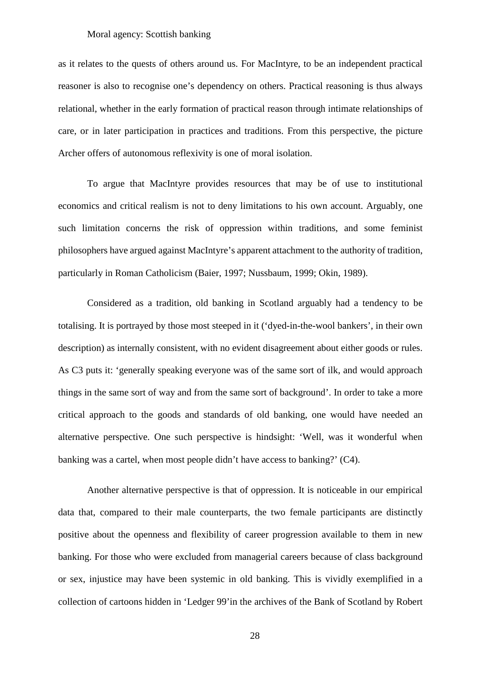as it relates to the quests of others around us. For MacIntyre, to be an independent practical reasoner is also to recognise one's dependency on others. Practical reasoning is thus always relational, whether in the early formation of practical reason through intimate relationships of care, or in later participation in practices and traditions. From this perspective, the picture Archer offers of autonomous reflexivity is one of moral isolation.

To argue that MacIntyre provides resources that may be of use to institutional economics and critical realism is not to deny limitations to his own account. Arguably, one such limitation concerns the risk of oppression within traditions, and some feminist philosophers have argued against MacIntyre's apparent attachment to the authority of tradition, particularly in Roman Catholicism (Baier, 1997; Nussbaum, 1999; Okin, 1989).

Considered as a tradition, old banking in Scotland arguably had a tendency to be totalising. It is portrayed by those most steeped in it ('dyed-in-the-wool bankers', in their own description) as internally consistent, with no evident disagreement about either goods or rules. As C3 puts it: 'generally speaking everyone was of the same sort of ilk, and would approach things in the same sort of way and from the same sort of background'. In order to take a more critical approach to the goods and standards of old banking, one would have needed an alternative perspective. One such perspective is hindsight: 'Well, was it wonderful when banking was a cartel, when most people didn't have access to banking?' (C4).

Another alternative perspective is that of oppression. It is noticeable in our empirical data that, compared to their male counterparts, the two female participants are distinctly positive about the openness and flexibility of career progression available to them in new banking. For those who were excluded from managerial careers because of class background or sex, injustice may have been systemic in old banking. This is vividly exemplified in a collection of cartoons hidden in 'Ledger 99'in the archives of the Bank of Scotland by Robert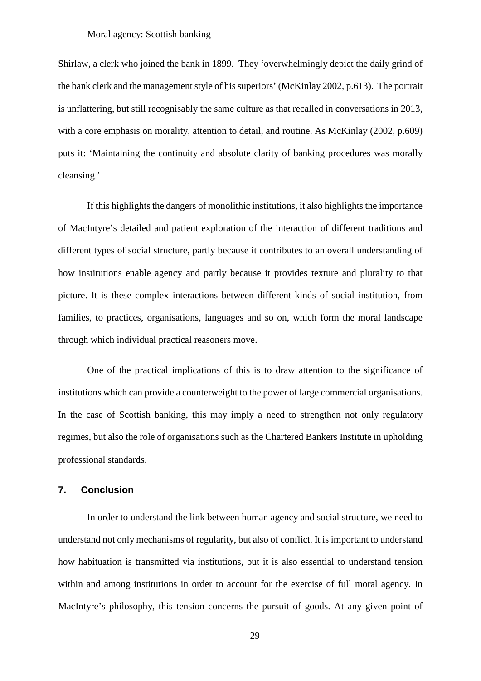Shirlaw, a clerk who joined the bank in 1899. They 'overwhelmingly depict the daily grind of the bank clerk and the management style of his superiors' (McKinlay 2002, p.613). The portrait is unflattering, but still recognisably the same culture as that recalled in conversations in 2013, with a core emphasis on morality, attention to detail, and routine. As McKinlay (2002, p.609) puts it: 'Maintaining the continuity and absolute clarity of banking procedures was morally cleansing.'

If this highlights the dangers of monolithic institutions, it also highlights the importance of MacIntyre's detailed and patient exploration of the interaction of different traditions and different types of social structure, partly because it contributes to an overall understanding of how institutions enable agency and partly because it provides texture and plurality to that picture. It is these complex interactions between different kinds of social institution, from families, to practices, organisations, languages and so on, which form the moral landscape through which individual practical reasoners move.

One of the practical implications of this is to draw attention to the significance of institutions which can provide a counterweight to the power of large commercial organisations. In the case of Scottish banking, this may imply a need to strengthen not only regulatory regimes, but also the role of organisations such as the Chartered Bankers Institute in upholding professional standards.

# **7. Conclusion**

In order to understand the link between human agency and social structure, we need to understand not only mechanisms of regularity, but also of conflict. It is important to understand how habituation is transmitted via institutions, but it is also essential to understand tension within and among institutions in order to account for the exercise of full moral agency. In MacIntyre's philosophy, this tension concerns the pursuit of goods. At any given point of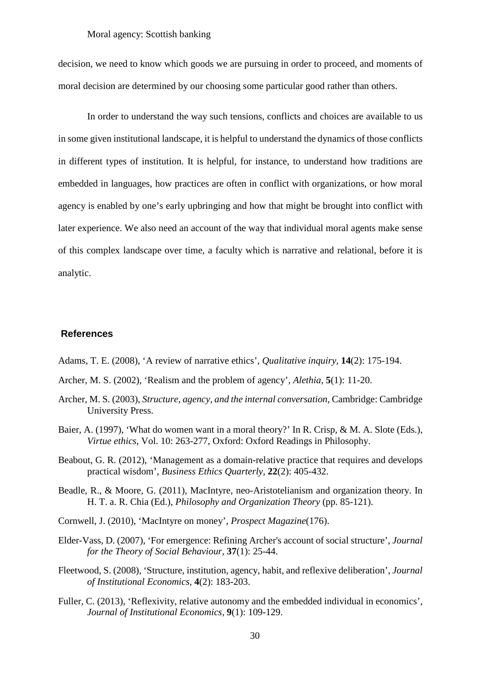decision, we need to know which goods we are pursuing in order to proceed, and moments of moral decision are determined by our choosing some particular good rather than others.

In order to understand the way such tensions, conflicts and choices are available to us in some given institutional landscape, it is helpful to understand the dynamics of those conflicts in different types of institution. It is helpful, for instance, to understand how traditions are embedded in languages, how practices are often in conflict with organizations, or how moral agency is enabled by one's early upbringing and how that might be brought into conflict with later experience. We also need an account of the way that individual moral agents make sense of this complex landscape over time, a faculty which is narrative and relational, before it is analytic.

## **References**

- Adams, T. E. (2008), 'A review of narrative ethics', *Qualitative inquiry,* **14**(2): 175-194.
- Archer, M. S. (2002), 'Realism and the problem of agency', *Alethia,* **5**(1): 11-20.
- Archer, M. S. (2003), *Structure, agency, and the internal conversation*, Cambridge: Cambridge University Press.
- Baier, A. (1997), 'What do women want in a moral theory?' In R. Crisp, & M. A. Slote (Eds.), *Virtue ethics*, Vol. 10: 263-277, Oxford: Oxford Readings in Philosophy.
- Beabout, G. R. (2012), 'Management as a domain-relative practice that requires and develops practical wisdom', *Business Ethics Quarterly,* **22**(2): 405-432.
- Beadle, R., & Moore, G. (2011), MacIntyre, neo-Aristotelianism and organization theory. In H. T. a. R. Chia (Ed.), *Philosophy and Organization Theory* (pp. 85-121).
- Cornwell, J. (2010), 'MacIntyre on money', *Prospect Magazine*(176).
- Elder-Vass, D. (2007), 'For emergence: Refining Archer's account of social structure', *Journal for the Theory of Social Behaviour,* **37**(1): 25-44.
- Fleetwood, S. (2008), 'Structure, institution, agency, habit, and reflexive deliberation', *Journal of Institutional Economics,* **4**(2): 183-203.
- Fuller, C. (2013), 'Reflexivity, relative autonomy and the embedded individual in economics', *Journal of Institutional Economics,* **9**(1): 109-129.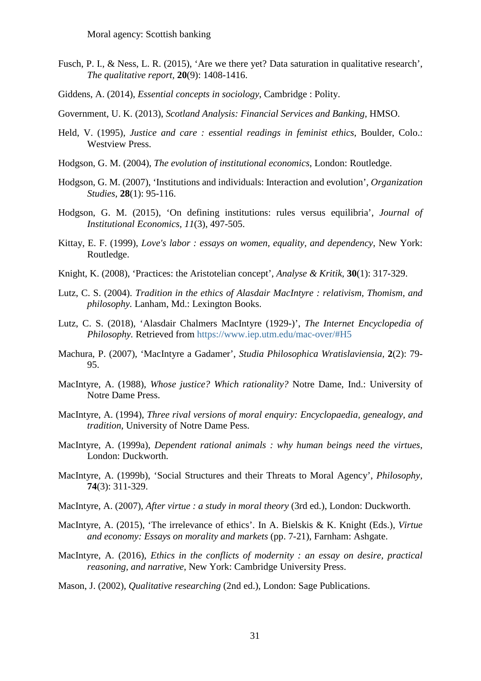- Fusch, P. I., & Ness, L. R. (2015), 'Are we there yet? Data saturation in qualitative research', *The qualitative report,* **20**(9): 1408-1416.
- Giddens, A. (2014), *Essential concepts in sociology*, Cambridge : Polity.
- Government, U. K. (2013), *Scotland Analysis: Financial Services and Banking*, HMSO.
- Held, V. (1995), *Justice and care : essential readings in feminist ethics*, Boulder, Colo.: Westview Press.
- Hodgson, G. M. (2004), *The evolution of institutional economics*, London: Routledge.
- Hodgson, G. M. (2007), 'Institutions and individuals: Interaction and evolution', *Organization Studies,* **28**(1): 95-116.
- Hodgson, G. M. (2015), 'On defining institutions: rules versus equilibria', *Journal of Institutional Economics, 11*(3), 497-505.
- Kittay, E. F. (1999), *Love's labor : essays on women, equality, and dependency*, New York: Routledge.
- Knight, K. (2008), 'Practices: the Aristotelian concept', *Analyse & Kritik,* **30**(1): 317-329.
- Lutz, C. S. (2004). *Tradition in the ethics of Alasdair MacIntyre : relativism, Thomism, and philosophy.* Lanham, Md.: Lexington Books.
- Lutz, C. S. (2018), 'Alasdair Chalmers MacIntyre (1929-)', *The Internet Encyclopedia of Philosophy.* Retrieved from https://www.iep.utm.edu/mac-over/#H5
- Machura, P. (2007), 'MacIntyre a Gadamer', *Studia Philosophica Wratislaviensia,* **2**(2): 79- 95.
- MacIntyre, A. (1988), *Whose justice? Which rationality?* Notre Dame, Ind.: University of Notre Dame Press.
- MacIntyre, A. (1994), *Three rival versions of moral enquiry: Encyclopaedia, genealogy, and tradition*, University of Notre Dame Pess.
- MacIntyre, A. (1999a), *Dependent rational animals : why human beings need the virtues*, London: Duckworth.
- MacIntyre, A. (1999b), 'Social Structures and their Threats to Moral Agency', *Philosophy,*  **74**(3): 311-329.
- MacIntyre, A. (2007), *After virtue : a study in moral theory* (3rd ed.), London: Duckworth.
- MacIntyre, A. (2015), 'The irrelevance of ethics'. In A. Bielskis & K. Knight (Eds.), *Virtue and economy: Essays on morality and markets* (pp. 7-21), Farnham: Ashgate.
- MacIntyre, A. (2016), *Ethics in the conflicts of modernity : an essay on desire, practical reasoning, and narrative*, New York: Cambridge University Press.
- Mason, J. (2002), *Qualitative researching* (2nd ed.), London: Sage Publications.